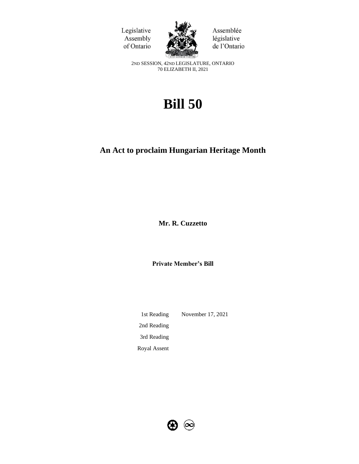



Assemblée législative de l'Ontario

2ND SESSION, 42ND LEGISLATURE, ONTARIO 70 ELIZABETH II, 2021

# **Bill 50**

# **An Act to proclaim Hungarian Heritage Month**

**Mr. R. Cuzzetto** 

**Private Member's Bill**

1st Reading November 17, 2021 2nd Reading 3rd Reading Royal Assent

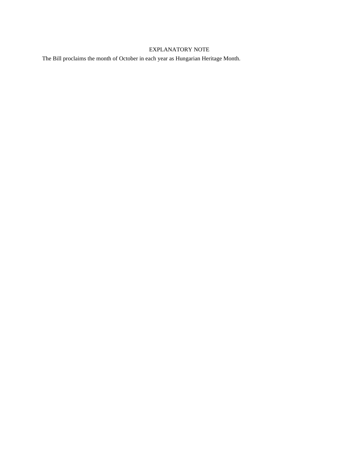# EXPLANATORY NOTE

The Bill proclaims the month of October in each year as Hungarian Heritage Month.